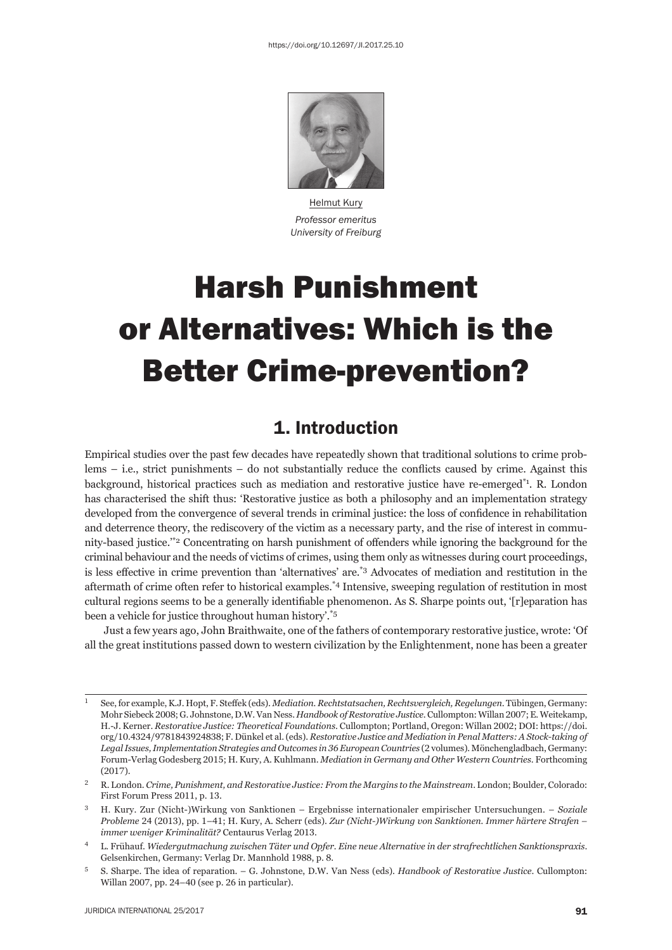

Helmut Kury *Professor emeritus University of Freiburg*

# Harsh Punishment or Alternatives: Which is the Better Crime-prevention?

### 1. Introduction

Empirical studies over the past few decades have repeatedly shown that traditional solutions to crime prob $lems - i.e., strict punishments - do not substantially reduce the conflicts caused by crime. Against this$ background, historical practices such as mediation and restorative justice have re-emerged\*1. R. London has characterised the shift thus: 'Restorative justice as both a philosophy and an implementation strategy developed from the convergence of several trends in criminal justice: the loss of confidence in rehabilitation and deterrence theory, the rediscovery of the victim as a necessary party, and the rise of interest in community-based justice.'\*<sup>2</sup> Concentrating on harsh punishment of offenders while ignoring the background for the criminal behaviour and the needs of victims of crimes, using them only as witnesses during court proceedings, is less effective in crime prevention than 'alternatives' are.<sup>\*3</sup> Advocates of mediation and restitution in the aftermath of crime often refer to historical examples.\*4 Intensive, sweeping regulation of restitution in most cultural regions seems to be a generally identifiable phenomenon. As S. Sharpe points out, '[r]eparation has been a vehicle for justice throughout human history'.\*5

Just a few years ago, John Braithwaite, one of the fathers of contemporary restorative justice, wrote: 'Of all the great institutions passed down to western civilization by the Enlightenment, none has been a greater

See, for example, K.J. Hopt, F. Steffek (eds). *Mediation. Rechtstatsachen, Rechtsvergleich, Regelungen*. Tübingen, Germany: Mohr Siebeck 2008; G. Johnstone, D.W. Van Ness. *Handbook of Restorative Justice*. Cullompton: Willan 2007; E. Weitekamp, H.-J. Kerner. *Restorative Justice: Theoretical Foundations*. Cullompton; Portland, Oregon: Willan 2002; DOI: https://doi. org/10.4324/9781843924838; F. Dünkel et al. (eds). *Restorative Justice and Mediation in Penal Matters: A Stock-taking of* Legal Issues, Implementation Strategies and Outcomes in 36 European Countries (2 volumes). Mönchengladbach, Germany: Forum-Verlag Godesberg ɳɱɲɶ; H. Kury, A. Kuhlmann. *Mediation in Germany and Other Western Countries*. Forthcoming  $(2017).$ 

<sup>ɳ</sup> R. London. *Crime, Punishment, and Restorative Justice: From the Margins to the Mainstream*. London; Boulder, Colorado: First Forum Press 2011, p. 13.

<sup>ɴ</sup> H. Kury. Zur (Nicht-)Wirkung von Sanktionen – Ergebnisse internationaler empirischer Untersuchungen. – *Soziale*  Probleme 24 (2013), pp. 1-41; H. Kury, A. Scherr (eds). Zur (Nicht-)Wirkung von Sanktionen. Immer härtere Strafen immer weniger Kriminalität? Centaurus Verlag 2013.

<sup>ɵ</sup> L. Frühauf. *Wiedergutmachung zwischen Täter und Opfer. Eine neue Alternative in der strafrechtlichen Sanktionspraxis*. Gelsenkirchen, Germany: Verlag Dr. Mannhold 1988, p. 8.

<sup>ɶ</sup> S. Sharpe. The idea of reparation. – G. Johnstone, D.W. Van Ness (eds). *Handbook of Restorative Justice*. Cullompton: Willan 2007, pp. 24-40 (see p. 26 in particular).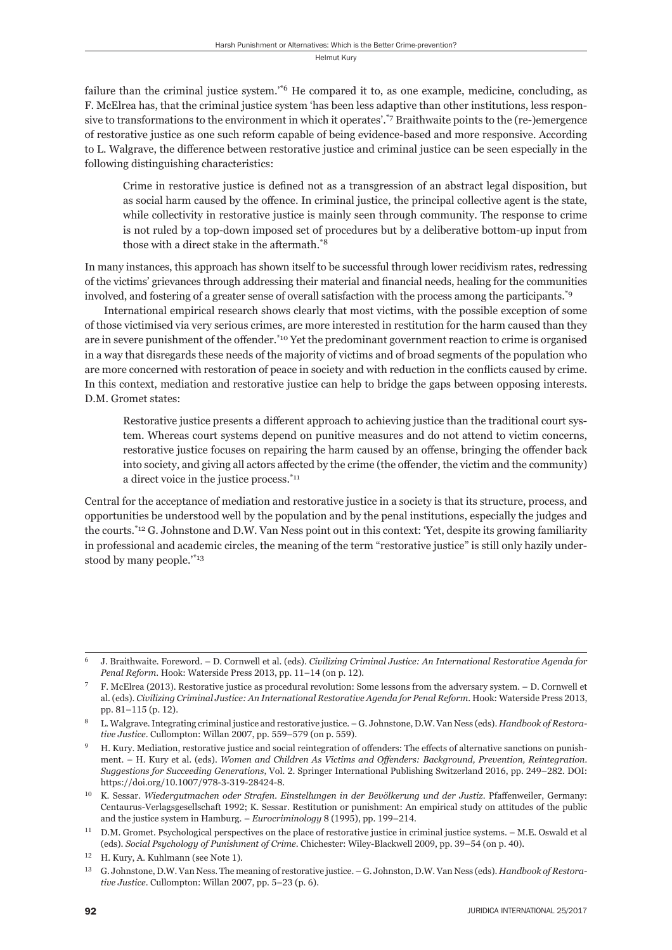failure than the criminal justice system.'\*6 He compared it to, as one example, medicine, concluding, as F. McElrea has, that the criminal justice system 'has been less adaptive than other institutions, less responsive to transformations to the environment in which it operates'.\*7 Braithwaite points to the (re-)emergence of restorative justice as one such reform capable of being evidence-based and more responsive. According to L. Walgrave, the difference between restorative justice and criminal justice can be seen especially in the following distinguishing characteristics:

Crime in restorative justice is defined not as a transgression of an abstract legal disposition, but as social harm caused by the offence. In criminal justice, the principal collective agent is the state, while collectivity in restorative justice is mainly seen through community. The response to crime is not ruled by a top-down imposed set of procedures but by a deliberative bottom-up input from those with a direct stake in the aftermath.\*8

In many instances, this approach has shown itself to be successful through lower recidivism rates, redressing of the victims' grievances through addressing their material and financial needs, healing for the communities involved, and fostering of a greater sense of overall satisfaction with the process among the participants.\*9

International empirical research shows clearly that most victims, with the possible exception of some of those victimised via very serious crimes, are more interested in restitution for the harm caused than they are in severe punishment of the offender.<sup>\*10</sup> Yet the predominant government reaction to crime is organised in a way that disregards these needs of the majority of victims and of broad segments of the population who are more concerned with restoration of peace in society and with reduction in the conflicts caused by crime. In this context, mediation and restorative justice can help to bridge the gaps between opposing interests. D.M. Gromet states:

Restorative justice presents a different approach to achieving justice than the traditional court system. Whereas court systems depend on punitive measures and do not attend to victim concerns, restorative justice focuses on repairing the harm caused by an offense, bringing the offender back into society, and giving all actors affected by the crime (the offender, the victim and the community) a direct voice in the justice process.\*11

Central for the acceptance of mediation and restorative justice in a society is that its structure, process, and opportunities be understood well by the population and by the penal institutions, especially the judges and the courts.\*12 G. Johnstone and D.W. Van Ness point out in this context: 'Yet, despite its growing familiarity in professional and academic circles, the meaning of the term "restorative justice" is still only hazily understood by many people."<sup>\*13</sup>

<sup>ɷ</sup> J. Braithwaite. Foreword. – D. Cornwell et al. (eds). *Civilizing Criminal Justice: An International Restorative Agenda for Penal Reform.* Hook: Waterside Press 2013, pp. 11-14 (on p. 12).

F. McElrea (2013). Restorative justice as procedural revolution: Some lessons from the adversary system. – D. Cornwell et al. (eds). *Civilizing Criminal Justice: An International Restorative Agenda for Penal Reform*. Hook: Waterside Press 2013, pp. 81-115 (p. 12).

ɹ L. Walgrave. Integrating criminal justice and restorative justice. – G. Johnstone, D.W. Van Ness (eds). *Handbook of Restorative Justice*. Cullompton: Willan 2007, pp. 559–579 (on p. 559).

H. Kury. Mediation, restorative justice and social reintegration of offenders: The effects of alternative sanctions on punishment. – H. Kury et al. (eds). *Women and Children As Victims and Off enders: Background, Prevention, Reintegration. Suggestions for Succeeding Generations*, Vol. 2. Springer International Publishing Switzerland 2016, pp. 249-282. DOI: https://doi.org/10.1007/978-3-319-28424-8.

<sup>&</sup>lt;sup>10</sup> K. Sessar. Wiedergutmachen oder Strafen. Einstellungen in der Bevölkerung und der Justiz. Pfaffenweiler, Germany: Centaurus-Verlagsgesellschaft 1992; K. Sessar. Restitution or punishment: An empirical study on attitudes of the public and the justice system in Hamburg. – *Eurocriminology* 8 (1995), pp. 199-214.

 $11$  D.M. Gromet. Psychological perspectives on the place of restorative justice in criminal justice systems.  $-$  M.E. Oswald et al (eds). *Social Psychology of Punishment of Crime*. Chichester: Wiley-Blackwell 2009, pp. 39-54 (on p. 40).

 $12$  H. Kury, A. Kuhlmann (see Note 1).

ɲɴ G. Johnstone, D.W. Van Ness. The meaning of restorative justice. – G. Johnston, D.W. Van Ness (eds). *Handbook of Restorative Justice*. Cullompton: Willan 2007, pp. 5-23 (p. 6).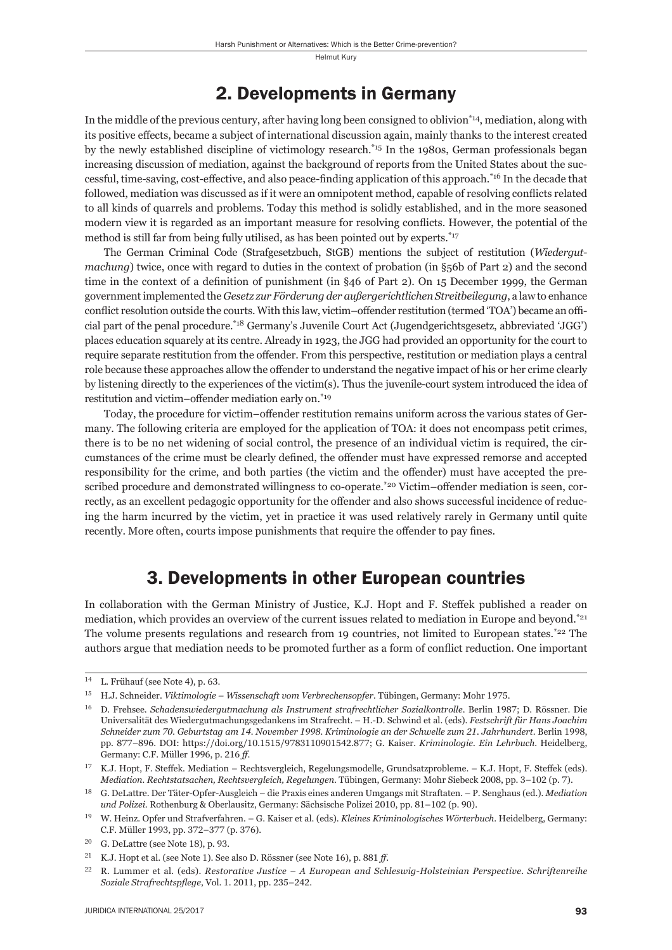#### 2. Developments in Germany

In the middle of the previous century, after having long been consigned to oblivion<sup>\*14</sup>, mediation, along with its positive effects, became a subject of international discussion again, mainly thanks to the interest created by the newly established discipline of victimology research.\*15 In the 1980s, German professionals began increasing discussion of mediation, against the background of reports from the United States about the successful, time-saving, cost-effective, and also peace-finding application of this approach.<sup>\*16</sup> In the decade that followed, mediation was discussed as if it were an omnipotent method, capable of resolving conflicts related to all kinds of quarrels and problems. Today this method is solidly established, and in the more seasoned modern view it is regarded as an important measure for resolving conflicts. However, the potential of the method is still far from being fully utilised, as has been pointed out by experts.<sup>\*17</sup>

The German Criminal Code (Strafgesetzbuch, StGB) mentions the subject of restitution (*Wiedergutmachung*) twice, once with regard to duties in the context of probation (in §56b of Part 2) and the second time in the context of a definition of punishment (in  $\S 46$  of Part 2). On 15 December 1999, the German government implemented the *Gesetz zur Förderung der außer gerichtlichen Streitbeilegung*, a law to enhance conflict resolution outside the courts. With this law, victim–offender restitution (termed 'TOA') became an official part of the penal procedure.\*18 Germany's Juvenile Court Act (Jugendgerichtsgesetz, abbreviated 'JGG') places education squarely at its centre. Already in 1923, the JGG had provided an opportunity for the court to require separate restitution from the offender. From this perspective, restitution or mediation plays a central role because these approaches allow the offender to understand the negative impact of his or her crime clearly by listening directly to the experiences of the victim(s). Thus the juvenile-court system introduced the idea of restitution and victim–offender mediation early on.<sup>\*19</sup>

Today, the procedure for victim–offender restitution remains uniform across the various states of Germany. The following criteria are employed for the application of TOA: it does not encompass petit crimes, there is to be no net widening of social control, the presence of an individual victim is required, the circumstances of the crime must be clearly defined, the offender must have expressed remorse and accepted responsibility for the crime, and both parties (the victim and the offender) must have accepted the prescribed procedure and demonstrated willingness to co-operate.<sup>\*20</sup> Victim–offender mediation is seen, correctly, as an excellent pedagogic opportunity for the offender and also shows successful incidence of reducing the harm incurred by the victim, yet in practice it was used relatively rarely in Germany until quite recently. More often, courts impose punishments that require the offender to pay fines.

#### 3. Developments in other European countries

In collaboration with the German Ministry of Justice, K.J. Hopt and F. Steffek published a reader on mediation, which provides an overview of the current issues related to mediation in Europe and beyond.<sup>\*21</sup> The volume presents regulations and research from 19 countries, not limited to European states.\*22 The authors argue that mediation needs to be promoted further as a form of conflict reduction. One important

 $14$  L. Frühauf (see Note 4), p. 63.

<sup>&</sup>lt;sup>15</sup> H.J. Schneider. *Viktimologie – Wissenschaft vom Verbrechensopfer*. Tübingen, Germany: Mohr 1975.

<sup>&</sup>lt;sup>16</sup> D. Frehsee. *Schadenswiedergutmachung als Instrument strafrechtlicher Sozialkontrolle*. Berlin 1987; D. Rössner. Die Universalität des Wiedergutmachungsgedankens im Strafrecht. – H.-D. Schwind et al. (eds). *Festschrift für Hans Joachim*   $S$ chneider zum 70. Geburtstag am 14. November 1998. Kriminologie an der Schwelle zum 21. Jahrhundert. Berlin 1998, pp. 877-896. DOI: https://doi.org/10.1515/9783110901542.877; G. Kaiser. *Kriminologie. Ein Lehrbuch*. Heidelberg, Germany: C.F. Müller 1996, p. 216 ff.

<sup>&</sup>lt;sup>17</sup> K.J. Hopt, F. Steffek. Mediation – Rechtsvergleich, Regelungsmodelle, Grundsatzprobleme. – K.J. Hopt, F. Steffek (eds). *Mediation. Rechtstatsachen, Rechtsvergleich, Regelungen*. Tübingen, Germany: Mohr Siebeck 2008, pp. 3-102 (p. 7).

ɲɹ G. DeLattre. Der Täter-Opfer-Ausgleich – die Praxis eines anderen Umgangs mit Straftaten. – P. Senghaus (ed.). *Mediation und Polizei*. Rothenburg & Oberlausitz, Germany: Sächsische Polizei 2010, pp. 81-102 (p. 90).

ɲɺ W. Heinz. Opfer und Strafverfahren. – G. Kaiser et al. (eds). *Kleines Kriminologisches Wörterbuch*. Heidelberg, Germany: C.F. Müller 1993, pp. 372-377 (p. 376).

 $20$  G. DeLattre (see Note 18), p. 93.

<sup>&</sup>lt;sup>21</sup> K.J. Hopt et al. (see Note 1). See also D. Rössner (see Note 16), p. 881 *ff*.

ɳɳ R. Lummer et al. (eds). *Restorative Justice – A European and Schleswig-Holsteinian Perspective. Schriftenreihe Soziale Strafrechtspflege*, Vol. 1. 2011, pp. 235-242.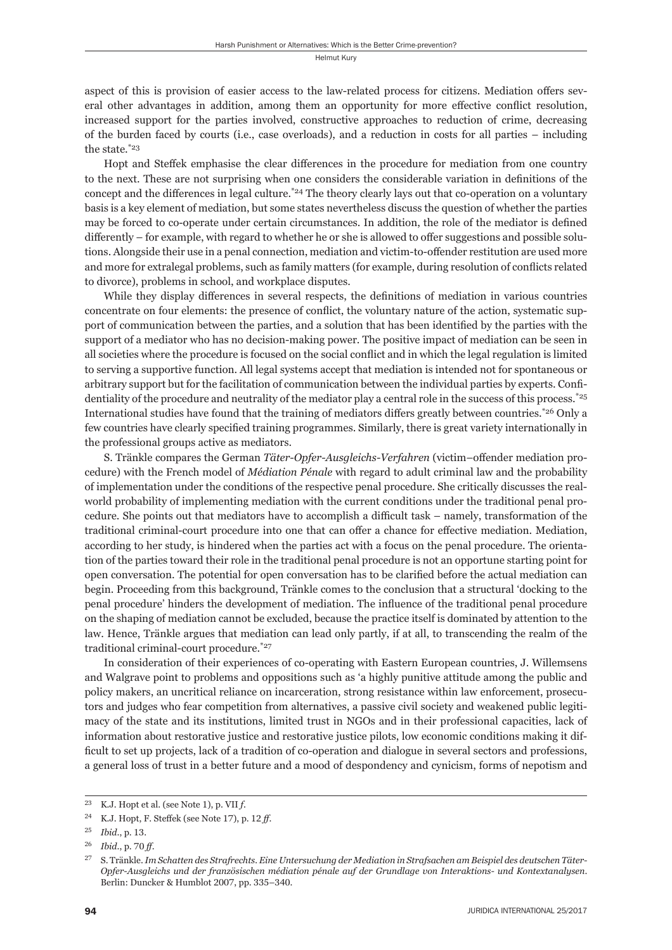aspect of this is provision of easier access to the law-related process for citizens. Mediation offers several other advantages in addition, among them an opportunity for more effective conflict resolution, increased support for the parties involved, constructive approaches to reduction of crime, decreasing of the burden faced by courts (i.e., case overloads), and a reduction in costs for all parties – including the state.\*23

Hopt and Steffek emphasise the clear differences in the procedure for mediation from one country to the next. These are not surprising when one considers the considerable variation in definitions of the concept and the differences in legal culture.<sup>\*24</sup> The theory clearly lays out that co-operation on a voluntary basis is a key element of mediation, but some states nevertheless discuss the question of whether the parties may be forced to co-operate under certain circumstances. In addition, the role of the mediator is defined differently – for example, with regard to whether he or she is allowed to offer suggestions and possible solutions. Alongside their use in a penal connection, mediation and victim-to-offender restitution are used more and more for extralegal problems, such as family matters (for example, during resolution of conflicts related to divorce), problems in school, and workplace disputes.

While they display differences in several respects, the definitions of mediation in various countries concentrate on four elements: the presence of conflict, the voluntary nature of the action, systematic support of communication between the parties, and a solution that has been identified by the parties with the support of a mediator who has no decision-making power. The positive impact of mediation can be seen in all societies where the procedure is focused on the social conflict and in which the legal regulation is limited to serving a supportive function. All legal systems accept that mediation is intended not for spontaneous or arbitrary support but for the facilitation of communication between the individual parties by experts. Confidentiality of the procedure and neutrality of the mediator play a central role in the success of this process.\*25 International studies have found that the training of mediators differs greatly between countries.\*26 Only a few countries have clearly specified training programmes. Similarly, there is great variety internationally in the professional groups active as mediators.

S. Tränkle compares the German *Täter-Opfer-Ausgleichs-Verfahren* (victim–offender mediation procedure) with the French model of *Médiation Pénale* with regard to adult criminal law and the probability of implementation under the conditions of the respective penal procedure. She critically discusses the realworld probability of implementing mediation with the current conditions under the traditional penal procedure. She points out that mediators have to accomplish a difficult task – namely, transformation of the traditional criminal-court procedure into one that can offer a chance for effective mediation. Mediation, according to her study, is hindered when the parties act with a focus on the penal procedure. The orientation of the parties toward their role in the traditional penal procedure is not an opportune starting point for open conversation. The potential for open conversation has to be clarified before the actual mediation can begin. Proceeding from this background, Tränkle comes to the conclusion that a structural 'docking to the penal procedure' hinders the development of mediation. The influence of the traditional penal procedure on the shaping of mediation cannot be excluded, because the practice itself is dominated by attention to the law. Hence, Tränkle argues that mediation can lead only partly, if at all, to transcending the realm of the traditional criminal-court procedure.\*27

In consideration of their experiences of co-operating with Eastern European countries, J. Willemsens and Walgrave point to problems and oppositions such as 'a highly punitive attitude among the public and policy makers, an uncritical reliance on incarceration, strong resistance within law enforcement, prosecutors and judges who fear competition from alternatives, a passive civil society and weakened public legitimacy of the state and its institutions, limited trust in NGOs and in their professional capacities, lack of information about restorative justice and restorative justice pilots, low economic conditions making it difficult to set up projects, lack of a tradition of co-operation and dialogue in several sectors and professions, a general loss of trust in a better future and a mood of despondency and cynicism, forms of nepotism and

<sup>&</sup>lt;sup>23</sup> K.J. Hopt et al. (see Note 1), p. VII  $f$ .

<sup>&</sup>lt;sup>24</sup> K.J. Hopt, F. Steffek (see Note 17), p. 12 ff.

<sup>&</sup>lt;sup>25</sup> *Ibid.*, p. 13.

ɳɷ *Ibid*., p. ɸɱ *ff*.

ɳɸ S. Tränkle. *Im Schatten des Strafrechts. Eine Untersuchung der Mediation in Strafsachen am Beispiel des deutschen Täter-Opfer-Ausgleichs und der französischen médiation pénale auf der Grundlage von Interaktions- und Kontextanalysen*. Berlin: Duncker & Humblot 2007, pp. 335-340.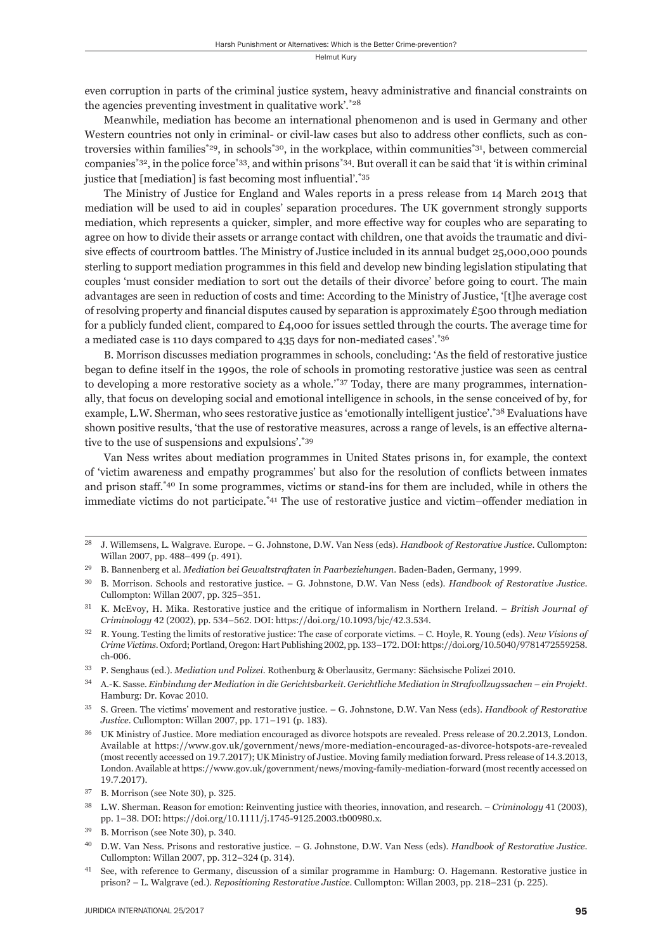even corruption in parts of the criminal justice system, heavy administrative and financial constraints on the agencies preventing investment in qualitative work'.\*28

Meanwhile, mediation has become an international phenomenon and is used in Germany and other Western countries not only in criminal- or civil-law cases but also to address other conflicts, such as controversies within families<sup>\*29</sup>, in schools<sup>\*30</sup>, in the workplace, within communities<sup>\*31</sup>, between commercial companies<sup>\*32</sup>, in the police force<sup>\*33</sup>, and within prisons<sup>\*34</sup>. But overall it can be said that 'it is within criminal justice that [mediation] is fast becoming most influential'.\*35

The Ministry of Justice for England and Wales reports in a press release from 14 March 2013 that mediation will be used to aid in couples' separation procedures. The UK government strongly supports mediation, which represents a quicker, simpler, and more effective way for couples who are separating to agree on how to divide their assets or arrange contact with children, one that avoids the traumatic and divisive effects of courtroom battles. The Ministry of Justice included in its annual budget 25,000,000 pounds sterling to support mediation programmes in this field and develop new binding legislation stipulating that couples 'must consider mediation to sort out the details of their divorce' before going to court. The main advantages are seen in reduction of costs and time: According to the Ministry of Justice, '[t]he average cost of resolving property and financial disputes caused by separation is approximately  $\epsilon_{500}$  through mediation for a publicly funded client, compared to  $\mathcal{E}_4$ ,000 for issues settled through the courts. The average time for a mediated case is 110 days compared to 435 days for non-mediated cases'.\*36

B. Morrison discusses mediation programmes in schools, concluding: 'As the field of restorative justice began to define itself in the 1990s, the role of schools in promoting restorative justice was seen as central to developing a more restorative society as a whole.<sup>\*37</sup> Today, there are many programmes, internationally, that focus on developing social and emotional intelligence in schools, in the sense conceived of by, for example, L.W. Sherman, who sees restorative justice as 'emotionally intelligent justice'.\*38 Evaluations have shown positive results, 'that the use of restorative measures, across a range of levels, is an effective alternative to the use of suspensions and expulsions'.\*39

Van Ness writes about mediation programmes in United States prisons in, for example, the context of 'victim awareness and empathy programmes' but also for the resolution of conflicts between inmates and prison staff.<sup>\*40</sup> In some programmes, victims or stand-ins for them are included, while in others the immediate victims do not participate.<sup>\*41</sup> The use of restorative justice and victim–offender mediation in

ɳɹ J. Willemsens, L. Walgrave. Europe. – G. Johnstone, D.W. Van Ness (eds). *Handbook of Restorative Justice*. Cullompton: Willan 2007, pp. 488-499 (p. 491).

<sup>&</sup>lt;sup>29</sup> B. Bannenberg et al. *Mediation bei Gewaltstraftaten in Paarbeziehungen*. Baden-Baden, Germany, 1999.

ɴɱ B. Morrison. Schools and restorative justice. – G. Johnstone, D.W. Van Ness (eds). *Handbook of Restorative Justice*. Cullompton: Willan 2007, pp. 325-351.

ɴɲ K. McEvoy, H. Mika. Restorative justice and the critique of informalism in Northern Ireland. – *British Journal of Criminology* 42 (2002), pp. 534-562. DOI: https://doi.org/10.1093/bjc/42.3.534.

ɴɳ R. Young. Testing the limits of restorative justice: The case of corporate victims. – C. Hoyle, R. Young (eds). *New Visions of Crime Victims*. Oxford; Portland, Oregon: Hart Publishing 2002, pp. 133-172. DOI: https://doi.org/10.5040/9781472559258. ch-006.

<sup>&</sup>lt;sup>33</sup> P. Senghaus (ed.). *Mediation und Polizei*. Rothenburg & Oberlausitz, Germany: Sächsische Polizei 2010.

ɴɵ A.-K. Sasse. *Einbindung der Mediation in die Gerichtsbarkeit. Gerichtliche Mediation in Strafvollzugssachen – ein Projekt*. Hamburg: Dr. Kovac 2010.

ɴɶ S. Green. The victims' movement and restorative justice. – G. Johnstone, D.W. Van Ness (eds). *Handbook of Restorative Justice*. Cullompton: Willan 2007, pp. 171-191 (p. 183).

<sup>&</sup>lt;sup>36</sup> UK Ministry of Justice. More mediation encouraged as divorce hotspots are revealed. Press release of 20.2.2013, London. Available at https://www.gov.uk/government/news/more-mediation-encouraged-as-divorce-hotspots-are-revealed (most recently accessed on 19.7.2017); UK Ministry of Justice. Moving family mediation forward. Press release of 14.3.2013, London. Available at https://www.gov.uk/government/news/moving-family-mediation-forward (most recently accessed on 19.7.2017).

 $37$  B. Morrison (see Note 30), p. 325.

<sup>&</sup>lt;sup>38</sup> L.W. Sherman. Reason for emotion: Reinventing justice with theories, innovation, and research. – *Criminology* 41 (2003), pp. 1-38. DOI: https://doi.org/10.1111/j.1745-9125.2003.tb00980.x.

 $39$  B. Morrison (see Note 30), p. 340.

ɵɱ D.W. Van Ness. Prisons and restorative justice. – G. Johnstone, D.W. Van Ness (eds). *Handbook of Restorative Justice*. Cullompton: Willan 2007, pp. 312-324 (p. 314).

<sup>&</sup>lt;sup>41</sup> See, with reference to Germany, discussion of a similar programme in Hamburg: O. Hagemann. Restorative justice in prison? – L. Walgrave (ed.). *Repositioning Restorative Justice*. Cullompton: Willan 2003, pp. 218–231 (p. 225).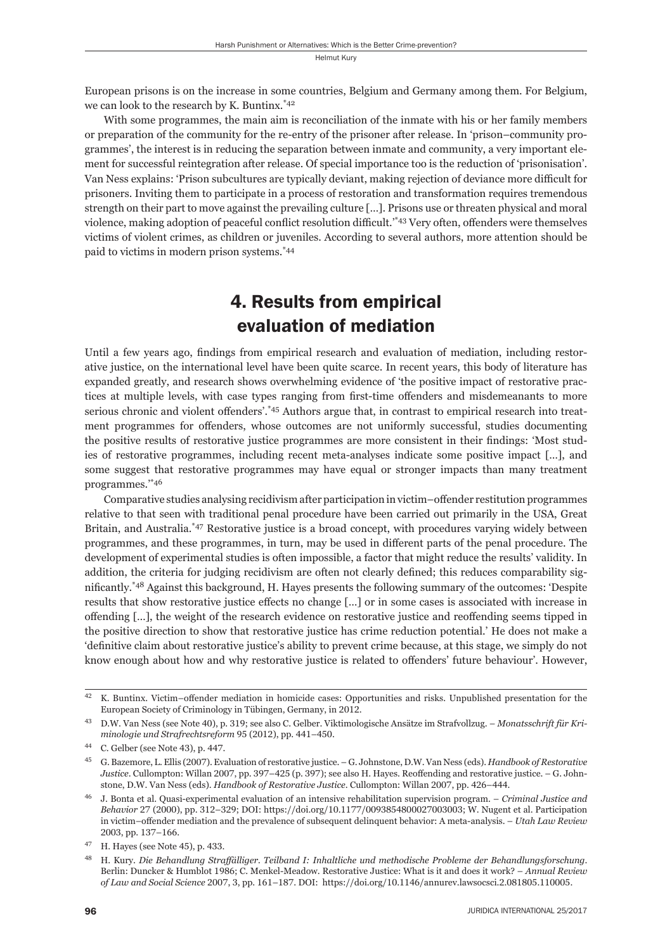European prisons is on the increase in some countries, Belgium and Germany among them. For Belgium, we can look to the research by K. Buntinx.\*42

With some programmes, the main aim is reconciliation of the inmate with his or her family members or preparation of the community for the re-entry of the prisoner after release. In 'prison–community programmes', the interest is in reducing the separation between inmate and community, a very important element for successful reintegration after release. Of special importance too is the reduction of 'prisonisation'. Van Ness explains: 'Prison subcultures are typically deviant, making rejection of deviance more difficult for prisoners. Inviting them to participate in a process of restoration and transformation requires tremendous strength on their part to move against the prevailing culture […]. Prisons use or threaten physical and moral violence, making adoption of peaceful conflict resolution difficult."<sup>43</sup> Very often, offenders were themselves victims of violent crimes, as children or juveniles. According to several authors, more attention should be paid to victims in modern prison systems.\*44

# 4. Results from empirical evaluation of mediation

Until a few years ago, findings from empirical research and evaluation of mediation, including restorative justice, on the international level have been quite scarce. In recent years, this body of literature has expanded greatly, and research shows overwhelming evidence of 'the positive impact of restorative practices at multiple levels, with case types ranging from first-time offenders and misdemeanants to more serious chronic and violent offenders'.\*45 Authors argue that, in contrast to empirical research into treatment programmes for offenders, whose outcomes are not uniformly successful, studies documenting the positive results of restorative justice programmes are more consistent in their findings: 'Most studies of restorative programmes, including recent meta-analyses indicate some positive impact […], and some suggest that restorative programmes may have equal or stronger impacts than many treatment programmes.'\*46

Comparative studies analysing recidivism after participation in victim–offender restitution programmes relative to that seen with traditional penal procedure have been carried out primarily in the USA, Great Britain, and Australia.<sup>\*47</sup> Restorative justice is a broad concept, with procedures varying widely between programmes, and these programmes, in turn, may be used in different parts of the penal procedure. The development of experimental studies is often impossible, a factor that might reduce the results' validity. In addition, the criteria for judging recidivism are often not clearly defined; this reduces comparability significantly.<sup>\*48</sup> Against this background, H. Hayes presents the following summary of the outcomes: 'Despite results that show restorative justice effects no change [...] or in some cases is associated with increase in offending [...], the weight of the research evidence on restorative justice and reoffending seems tipped in the positive direction to show that restorative justice has crime reduction potential.' He does not make a 'definitive claim about restorative justice's ability to prevent crime because, at this stage, we simply do not know enough about how and why restorative justice is related to offenders' future behaviour'. However,

<sup>&</sup>lt;sup>42</sup> K. Buntinx. Victim–offender mediation in homicide cases: Opportunities and risks. Unpublished presentation for the European Society of Criminology in Tübingen, Germany, in 2012.

<sup>&</sup>lt;sup>43</sup> D.W. Van Ness (see Note 40), p. 319; see also C. Gelber. Viktimologische Ansätze im Strafvollzug. - Monatsschrift für Kri*minologie und Strafrechtsreform* 95 (2012), pp. 441-450.

<sup>44</sup> C. Gelber (see Note 43), p. 447.

<sup>&</sup>lt;sup>45</sup> G. Bazemore, L. Ellis (2007). Evaluation of restorative justice. – G. Johnstone, D.W. Van Ness (eds). *Handbook of Restorative Justice*. Cullompton: Willan 2007, pp. 397-425 (p. 397); see also H. Hayes. Reoffending and restorative justice. - G. Johnstone, D.W. Van Ness (eds). *Handbook of Restorative Justice*. Cullompton: Willan 2007, pp. 426-444.

ɵɷ J. Bonta et al. Quasi-experimental evaluation of an intensive rehabilitation supervision program. – *Criminal Justice and Behavior* 27 (2000), pp. 312-329; DOI: https://doi.org/10.1177/0093854800027003003; W. Nugent et al. Participation in victim–offender mediation and the prevalence of subsequent delinquent behavior: A meta-analysis. – *Utah Law Review* 2003, pp. 137-166.

 $47$  H. Hayes (see Note 45), p. 433.

ɵɹ H. Kury. *Die Behandlung Straff älliger. Teilband I: Inhaltliche und methodische Probleme der Behandlungsforschung*. Berlin: Duncker & Humblot 1986; C. Menkel-Meadow. Restorative Justice: What is it and does it work? – *Annual Review of Law and Social Science* 2007, 3, pp. 161-187. DOI: https://doi.org/10.1146/annurev.lawsocsci.2.081805.110005.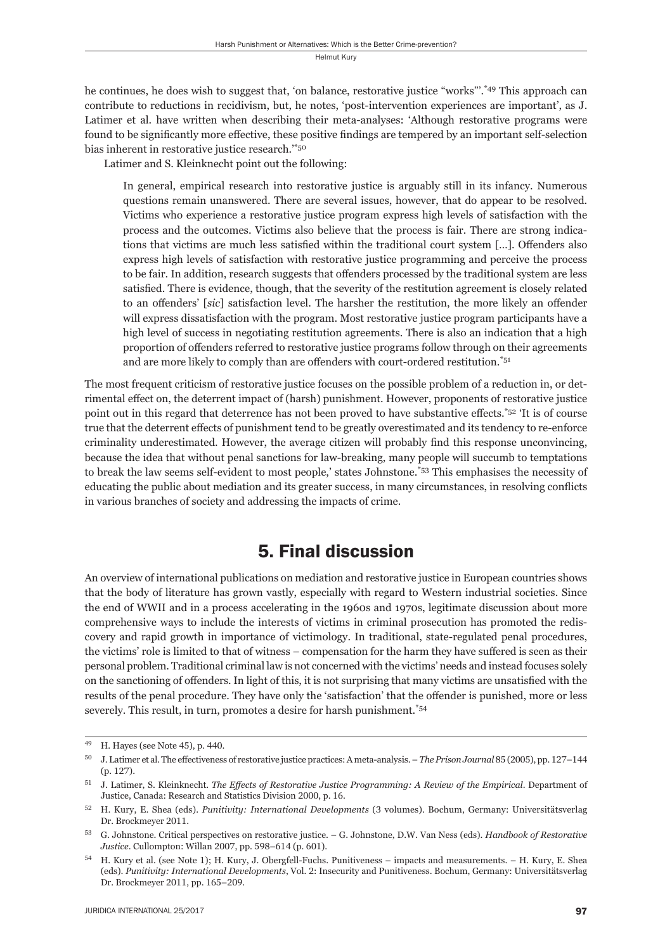he continues, he does wish to suggest that, 'on balance, restorative justice "works"'.\*49 This approach can contribute to reductions in recidivism, but, he notes, 'post-intervention experiences are important', as J. Latimer et al. have written when describing their meta-analyses: 'Although restorative programs were found to be significantly more effective, these positive findings are tempered by an important self-selection bias inherent in restorative justice research.'\*50

Latimer and S. Kleinknecht point out the following:

In general, empirical research into restorative justice is arguably still in its infancy. Numerous questions remain unanswered. There are several issues, however, that do appear to be resolved. Victims who experience a restorative justice program express high levels of satisfaction with the process and the outcomes. Victims also believe that the process is fair. There are strong indications that victims are much less satisfied within the traditional court system [...]. Offenders also express high levels of satisfaction with restorative justice programming and perceive the process to be fair. In addition, research suggests that offenders processed by the traditional system are less satisfied. There is evidence, though, that the severity of the restitution agreement is closely related to an offenders' [*sic*] satisfaction level. The harsher the restitution, the more likely an offender will express dissatisfaction with the program. Most restorative justice program participants have a high level of success in negotiating restitution agreements. There is also an indication that a high proportion of offenders referred to restorative justice programs follow through on their agreements and are more likely to comply than are offenders with court-ordered restitution. $*51$ 

The most frequent criticism of restorative justice focuses on the possible problem of a reduction in, or detrimental effect on, the deterrent impact of (harsh) punishment. However, proponents of restorative justice point out in this regard that deterrence has not been proved to have substantive effects.\*52 'It is of course true that the deterrent effects of punishment tend to be greatly overestimated and its tendency to re-enforce criminality underestimated. However, the average citizen will probably find this response unconvincing, because the idea that without penal sanctions for law-breaking, many people will succumb to temptations to break the law seems self-evident to most people,' states Johnstone.\*53 This emphasises the necessity of educating the public about mediation and its greater success, in many circumstances, in resolving conflicts in various branches of society and addressing the impacts of crime.

## 5. Final discussion

An overview of international publications on mediation and restorative justice in European countries shows that the body of literature has grown vastly, especially with regard to Western industrial societies. Since the end of WWII and in a process accelerating in the 1960s and 1970s, legitimate discussion about more comprehensive ways to include the interests of victims in criminal prosecution has promoted the rediscovery and rapid growth in importance of victimology. In traditional, state-regulated penal procedures, the victims' role is limited to that of witness – compensation for the harm they have suffered is seen as their personal problem. Traditional criminal law is not concerned with the victims' needs and instead focuses solely on the sanctioning of offenders. In light of this, it is not surprising that many victims are unsatisfied with the results of the penal procedure. They have only the 'satisfaction' that the offender is punished, more or less severely. This result, in turn, promotes a desire for harsh punishment.<sup>\*54</sup>

<sup>&</sup>lt;sup>49</sup> H. Hayes (see Note 45), p. 440.

<sup>&</sup>lt;sup>50</sup> J. Latimer et al. The effectiveness of restorative justice practices: A meta-analysis. – The Prison Journal 85 (2005), pp. 127–144  $(p. 127)$ .

<sup>&</sup>lt;sup>51</sup> J. Latimer, S. Kleinknecht. *The Effects of Restorative Justice Programming: A Review of the Empirical. Department of* Justice, Canada: Research and Statistics Division 2000, p. 16.

<sup>&</sup>lt;sup>52</sup> H. Kury, E. Shea (eds). *Punitivity: International Developments* (3 volumes). Bochum, Germany: Universitätsverlag Dr. Brockmeyer 2011.

ɶɴ G. Johnstone. Critical perspectives on restorative justice. – G. Johnstone, D.W. Van Ness (eds). *Handbook of Restorative Justice*. Cullompton: Willan 2007, pp. 598–614 (p. 601).

<sup>&</sup>lt;sup>54</sup> H. Kury et al. (see Note 1); H. Kury, J. Obergfell-Fuchs. Punitiveness – impacts and measurements. – H. Kury, E. Shea (eds). *Punitivity: International Developments*, Vol. 2: Insecurity and Punitiveness. Bochum, Germany: Universitätsverlag Dr. Brockmeyer 2011, pp. 165-209.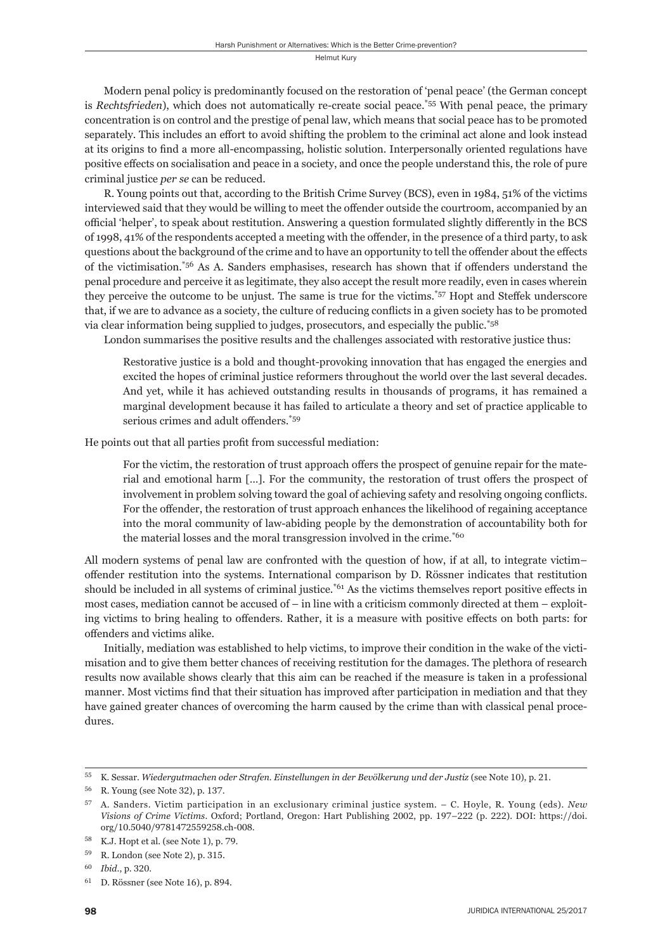Modern penal policy is predominantly focused on the restoration of 'penal peace' (the German concept is *Rechtsfrieden*), which does not automatically re-create social peace.<sup>\*55</sup> With penal peace, the primary concentration is on control and the prestige of penal law, which means that social peace has to be promoted separately. This includes an effort to avoid shifting the problem to the criminal act alone and look instead at its origins to find a more all-encompassing, holistic solution. Interpersonally oriented regulations have positive effects on socialisation and peace in a society, and once the people understand this, the role of pure criminal justice *per se* can be reduced.

R. Young points out that, according to the British Crime Survey (BCS), even in 1984, 51% of the victims interviewed said that they would be willing to meet the offender outside the courtroom, accompanied by an official 'helper', to speak about restitution. Answering a question formulated slightly differently in the BCS of 1998, 41% of the respondents accepted a meeting with the offender, in the presence of a third party, to ask questions about the background of the crime and to have an opportunity to tell the offender about the effects of the victimisation.<sup>\*56</sup> As A. Sanders emphasises, research has shown that if offenders understand the penal procedure and perceive it as legitimate, they also accept the result more readily, even in cases wherein they perceive the outcome to be unjust. The same is true for the victims.<sup>\*57</sup> Hopt and Steffek underscore that, if we are to advance as a society, the culture of reducing conflicts in a given society has to be promoted via clear information being supplied to judges, prosecutors, and especially the public.\*58

London summarises the positive results and the challenges associated with restorative justice thus:

Restorative justice is a bold and thought-provoking innovation that has engaged the energies and excited the hopes of criminal justice reformers throughout the world over the last several decades. And yet, while it has achieved outstanding results in thousands of programs, it has remained a marginal development because it has failed to articulate a theory and set of practice applicable to serious crimes and adult offenders.<sup>\*59</sup>

He points out that all parties profit from successful mediation:

For the victim, the restoration of trust approach offers the prospect of genuine repair for the material and emotional harm [...]. For the community, the restoration of trust offers the prospect of involvement in problem solving toward the goal of achieving safety and resolving ongoing conflicts. For the offender, the restoration of trust approach enhances the likelihood of regaining acceptance into the moral community of law-abiding people by the demonstration of accountability both for the material losses and the moral transgression involved in the crime.\*60

All modern systems of penal law are confronted with the question of how, if at all, to integrate victim– off ender restitution into the systems. International comparison by D. Rössner indicates that restitution should be included in all systems of criminal justice.<sup> $*61$ </sup> As the victims themselves report positive effects in most cases, mediation cannot be accused of – in line with a criticism commonly directed at them – exploiting victims to bring healing to offenders. Rather, it is a measure with positive effects on both parts: for offenders and victims alike.

Initially, mediation was established to help victims, to improve their condition in the wake of the victimisation and to give them better chances of receiving restitution for the damages. The plethora of research results now available shows clearly that this aim can be reached if the measure is taken in a professional manner. Most victims find that their situation has improved after participation in mediation and that they have gained greater chances of overcoming the harm caused by the crime than with classical penal procedures.

 $^{55}$  K. Sessar. *Wiedergutmachen oder Strafen. Einstellungen in der Bevölkerung und der Justiz* (see Note 10), p. 21.

<sup>&</sup>lt;sup>56</sup> R. Young (see Note 32), p. 137.

ɶɸ A. Sanders. Victim participation in an exclusionary criminal justice system. – C. Hoyle, R. Young (eds). *New Visions of Crime Victims*. Oxford; Portland, Oregon: Hart Publishing 2002, pp. 197-222 (p. 222). DOI: https://doi. org/10.5040/9781472559258.ch-008.

 $58$  K.J. Hopt et al. (see Note 1), p. 79.

<sup>&</sup>lt;sup>59</sup> R. London (see Note 2), p. 315.

<sup>&</sup>lt;sup>60</sup> *Ibid.*, p. 320.

 $61$  D. Rössner (see Note 16), p. 894.